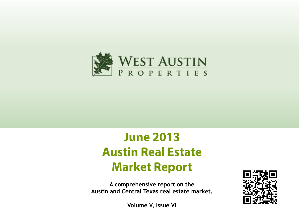

# **June 2013 Austin Real Estate Market Report**

**A comprehensive report on the Austin and Central Texas real estate market.**



**Volume V, Issue VI**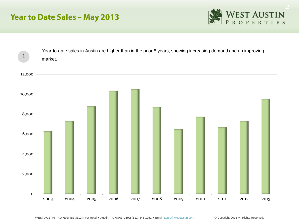# **Year to Date Sales - May 2013**



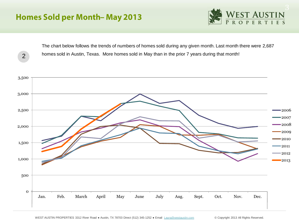# **Homes Sold per Month-May 2013**



The chart below follows the trends of numbers of homes sold during any given month. Last month there were 2,687 homes sold in Austin, Texas. More homes sold in May than in the prior 7 years during that month! 2

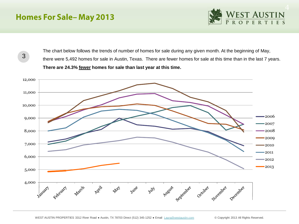# **Homes For Sale-May 2013**



3

The chart below follows the trends of number of homes for sale during any given month. At the beginning of May, there were 5,492 homes for sale in Austin, Texas. There are fewer homes for sale at this time than in the last 7 years. **There are 24.3% fewer homes for sale than last year at this time.** 

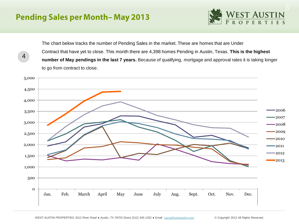# **Pending Sales per Month-May 2013**

4



The chart below tracks the number of Pending Sales in the market. These are homes that are Under Contract that have yet to close. This month there are 4,398 homes Pending in Austin, Texas. **This is the highest number of May pendings in the last 7 years.** Because of qualifying, mortgage and approval rates it is taking longer to go from contract to close.

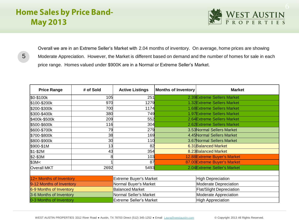# **Home Sales by Price Band-May 2013**



5

Overall we are in an Extreme Seller's Market with 2.04 months of inventory. On average, home prices are showing Moderate Appreciation. However, the Market is different based on demand and the number of homes for sale in each price range. Homes valued under \$900K are in a Normal or Extreme Seller's Market.

| <b>Price Range</b>       | # of Sold | <b>Active Listings</b>         | <b>Months of Inventory</b> | <b>Market</b>                   |  |  |  |  |  |
|--------------------------|-----------|--------------------------------|----------------------------|---------------------------------|--|--|--|--|--|
| \$0-\$100k               | 105       | 251                            |                            | 2.39 Extreme Sellers Market     |  |  |  |  |  |
| \$100-\$200k             | 970       | 1279                           |                            | 1.32 Extreme Sellers Market     |  |  |  |  |  |
| \$200-\$300k             | 700       | 1174                           |                            | 1.68 Extreme Sellers Market     |  |  |  |  |  |
| \$300-\$400k             | 380       | 749                            |                            | 1.97 Extreme Sellers Market     |  |  |  |  |  |
| \$400k-\$500k            | 209       | 552                            |                            | 2.64 Extreme Sellers Market     |  |  |  |  |  |
| \$500-\$600k             | 116       | 304                            |                            | 2.62 Extreme Sellers Market     |  |  |  |  |  |
| \$600-\$700k             | 79        | 279                            |                            | 3.53 Normal Sellers Market      |  |  |  |  |  |
| \$700-\$800k             | 38        | 169                            |                            | 4.45 Normal Sellers Market      |  |  |  |  |  |
| \$800-\$900k             | 30        | 110                            |                            | 3.67 Normal Sellers Market      |  |  |  |  |  |
| \$900-\$1M               | 13        | 82                             |                            | 6.31 Balanced Market            |  |  |  |  |  |
| $$1-$2M$                 | 43        | 354                            |                            | 8.23 Balanced Market            |  |  |  |  |  |
| \$2-\$3M                 |           | 103                            |                            | 12.88 Extreme Buyer's Market    |  |  |  |  |  |
| $$3M$                    |           | 87                             |                            | 87.00 Extreme Buyer's Market    |  |  |  |  |  |
| <b>Overall MKT</b>       | 2692      | 5493                           |                            | 2.04 Extreme Seller's Market    |  |  |  |  |  |
|                          |           |                                |                            |                                 |  |  |  |  |  |
| 12+ Months of Inventory  |           | <b>Extreme Buyer's Market</b>  |                            | <b>High Depreciation</b>        |  |  |  |  |  |
| 9-12 Months of Inventory |           | Normal Buyer's Market          |                            | Moderate Depreciation           |  |  |  |  |  |
| 6-9 Months of Inventory  |           | <b>Balanced Market</b>         |                            | <b>Flat/Slight Depreciation</b> |  |  |  |  |  |
| 3-6 Months of Inventory  |           | Normal Seller's Market         |                            | Moderate Appreciation           |  |  |  |  |  |
| 0-3 Months of Inventory  |           | <b>Extreme Seller's Market</b> |                            | <b>High Appreciation</b>        |  |  |  |  |  |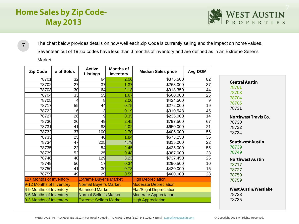# **Home Sales by Zip Code-May 2013**



The chart below provides details on how well each Zip Code is currently selling and the impact on home values. Seventeen out of 19 zip codes have less than 3 months of inventory and are defined as in an Extreme Seller's Market. 

| <b>Zip Code</b>          | # of Solds | <b>Active</b><br><b>Listings</b> | <b>Months of</b><br>Inventory | <b>Median Sales price</b>       | Avg DOM         |
|--------------------------|------------|----------------------------------|-------------------------------|---------------------------------|-----------------|
| 78701                    | 32         | 64                               | 2.00                          | \$375,500                       | 82              |
| 78702                    | 27         | 37                               | 1.37                          | \$263,000                       | 37              |
| 78703                    | 30         | 64                               | 2.13                          | \$918,350                       | 44              |
| 78704                    | 33         | 55                               | 1.67                          | \$500,000                       | 25              |
| 78705                    |            | 8                                | 2.00                          | \$424,500                       | 9               |
| 78717                    | 59         | 44                               | 0.75                          | \$272,000                       | 19              |
| 78722                    | 16         |                                  | 0.19                          | \$310,548                       | 45              |
| 78727                    | 26         | 9                                | 0.35                          | \$235,000                       | 14              |
| 78730                    | 20         | 49                               | 2.45                          | \$797,500                       | 67              |
| 78731                    | 41         | 83                               | 2.02                          | \$650,000                       | 21              |
| 78732                    | 37         | 100                              | 2.70                          | \$405,000                       | 56              |
| 78733                    | 25         | 46                               | 1.84                          | \$673,250                       | 36              |
| 78734                    | 47         | 225                              | 4.79                          | \$315,000                       | 22              |
| 78735                    | 22         | 54                               | 2.45                          | \$425,000                       | 55              |
| 78739                    | 52         | 25                               | 0.48                          | \$387,000                       | 23              |
| 78746                    | 40         | 129                              | 3.23                          | \$737,450                       | $\overline{25}$ |
| 78749                    | 50         | 17                               | 0.34                          | \$290,500                       | 10              |
| 78750                    | 41         | 30                               | 0.73                          | \$430,000                       | 15              |
| 78759                    | 49         | 29                               | 0.59                          | \$400,000                       | 28              |
| 12+ Months of Inventory  |            | <b>Extreme Buyer's Market</b>    |                               | <b>High Depreciation</b>        |                 |
| 9-12 Months of Inventory |            | Normal Buyer's Market            |                               | <b>Moderate Depreciation</b>    |                 |
| 6-9 Months of Inventory  |            | <b>Balanced Market</b>           |                               | <b>Flat/Slight Depreciation</b> |                 |
| 3-6 Months of Inventory  |            | Normal Seller's Market           |                               | <b>Moderate Appreciation</b>    |                 |
| 0-3 Months of Inventory  |            | <b>Extreme Sellers Market</b>    |                               | <b>High Appreciation</b>        |                 |

**Northwest Travis Co.**  

**Southwest Austin**  

**Northwest Austin**  

**West Austin/Westlake**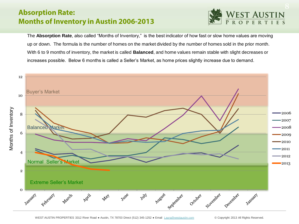## **Absorption Rate: Months of Inventory in Austin 2006-2013**



The **Absorption Rate**, also called "Months of Inventory," is the best indicator of how fast or slow home values are moving up or down. The formula is the number of homes on the market divided by the number of homes sold in the prior month. With 6 to 9 months of inventory, the market is called **Balanced**, and home values remain stable with slight decreases or increases possible. Below 6 months is called a Seller's Market, as home prices slightly increase due to demand.

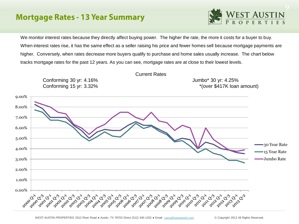## **Mortgage Rates - 13 Year Summary**



We monitor interest rates because they directly affect buying power. The higher the rate, the more it costs for a buyer to buy. When interest rates rise, it has the same effect as a seller raising his price and fewer homes sell because mortgage payments are higher. Conversely, when rates decrease more buyers qualify to purchase and home sales usually increase. The chart below tracks mortgage rates for the past 12 years. As you can see, mortgage rates are at close to their lowest levels.

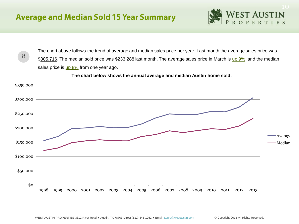

8

The chart above follows the trend of average and median sales price per year. Last month the average sales price was \$305,716. The median sold price was \$233,288 last month. The average sales price in March is up 9% and the median sales price is  $\mu$   $\beta$ % from one year ago.



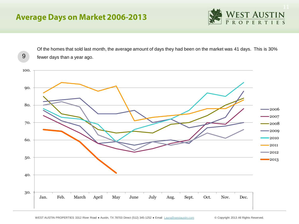# **Average Days on Market 2006-2013**



Of the homes that sold last month, the average amount of days they had been on the market was 41 days. This is 30% 9 fewer days than a year ago.